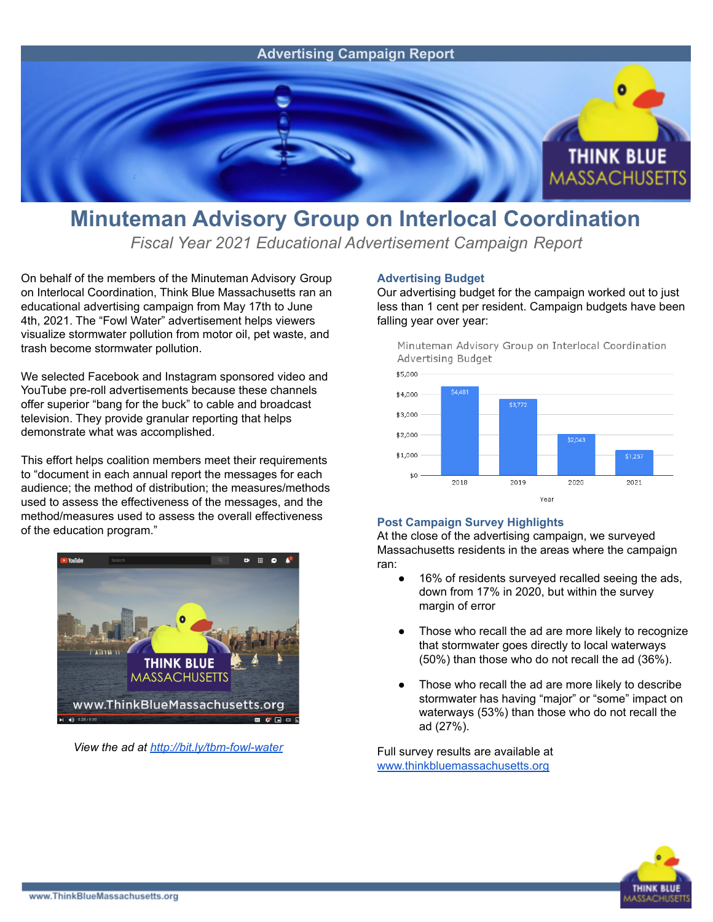

## **Minuteman Advisory Group on Interlocal Coordination**

*Fiscal Year 2021 Educational Advertisement Campaign Report*

On behalf of the members of the Minuteman Advisory Group on Interlocal Coordination, Think Blue Massachusetts ran an educational advertising campaign from May 17th to June 4th, 2021. The "Fowl Water" advertisement helps viewers visualize stormwater pollution from motor oil, pet waste, and trash become stormwater pollution.

We selected Facebook and Instagram sponsored video and YouTube pre-roll advertisements because these channels offer superior "bang for the buck" to cable and broadcast television. They provide granular reporting that helps demonstrate what was accomplished.

This effort helps coalition members meet their requirements to "document in each annual report the messages for each audience; the method of distribution; the measures/methods used to assess the effectiveness of the messages, and the method/measures used to assess the overall effectiveness of the education program."



*View the ad at <http://bit.ly/tbm-fowl-water>*

## **Advertising Budget**

Our advertising budget for the campaign worked out to just less than 1 cent per resident. Campaign budgets have been falling year over year:





## **Post Campaign Survey Highlights**

At the close of the advertising campaign, we surveyed Massachusetts residents in the areas where the campaign ran:

- 16% of residents surveyed recalled seeing the ads, down from 17% in 2020, but within the survey margin of error
- Those who recall the ad are more likely to recognize that stormwater goes directly to local waterways (50%) than those who do not recall the ad (36%).
- Those who recall the ad are more likely to describe stormwater has having "major" or "some" impact on waterways (53%) than those who do not recall the ad (27%).

Full survey results are available at [www.thinkbluemassachusetts.org](http://www.thinkbluemassachusetts.org)